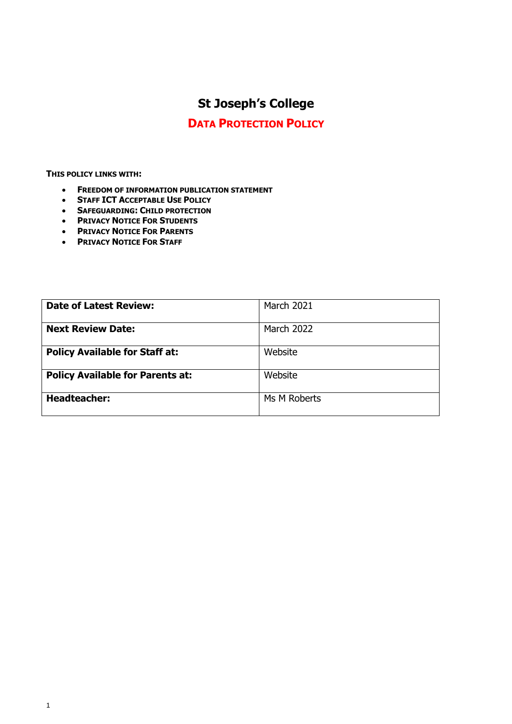# **St Joseph's College**

# **DATA PROTECTION POLICY**

**THIS POLICY LINKS WITH:**

- **FREEDOM OF INFORMATION PUBLICATION STATEMENT**
- **STAFF ICT ACCEPTABLE USE POLICY**
- **SAFEGUARDING: CHILD PROTECTION**
- **PRIVACY NOTICE FOR STUDENTS**
- **PRIVACY NOTICE FOR PARENTS**
- **PRIVACY NOTICE FOR STAFF**

| <b>Date of Latest Review:</b>           | <b>March 2021</b> |
|-----------------------------------------|-------------------|
| <b>Next Review Date:</b>                | <b>March 2022</b> |
| <b>Policy Available for Staff at:</b>   | Website           |
| <b>Policy Available for Parents at:</b> | Website           |
| <b>Headteacher:</b>                     | Ms M Roberts      |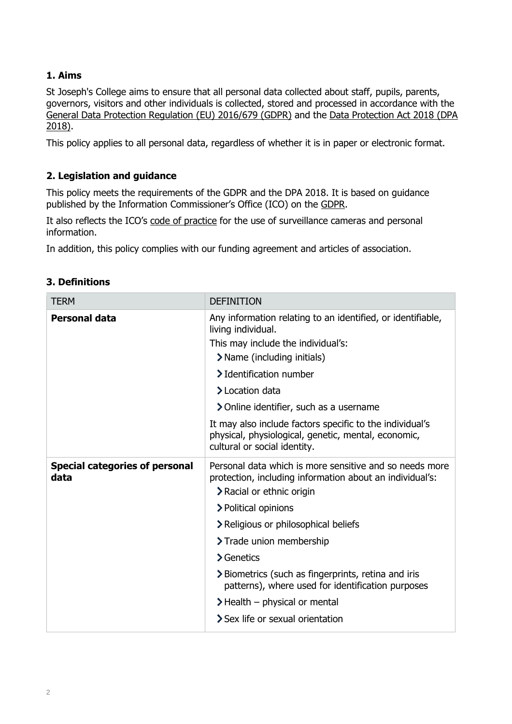# **1. Aims**

St Joseph's College aims to ensure that all personal data collected about staff, pupils, parents, governors, visitors and other individuals is collected, stored and processed in accordance with the [General Data Protection Regulation](https://eur-lex.europa.eu/legal-content/EN/TXT/?qid=1528874672298&uri=CELEX:02016R0679-20160504) (EU) 2016/679 (GDPR) and the Data Protection Act 2018 (DPA [2018\).](http://www.legislation.gov.uk/ukpga/2018/12/contents/enacted)

This policy applies to all personal data, regardless of whether it is in paper or electronic format.

# **2. Legislation and guidance**

This policy meets the requirements of the GDPR and the DPA 2018. It is based on guidance published by the Information Commissioner's Office (ICO) on the [GDPR.](https://ico.org.uk/for-organisations/guide-to-the-general-data-protection-regulation-gdpr/)

It also reflects the ICO's [code of practice](https://ico.org.uk/media/for-organisations/documents/1542/cctv-code-of-practice.pdf) for the use of surveillance cameras and personal information.

In addition, this policy complies with our funding agreement and articles of association.

| <b>TERM</b>                                   | <b>DEFINITION</b>                                                                                                                                |
|-----------------------------------------------|--------------------------------------------------------------------------------------------------------------------------------------------------|
| <b>Personal data</b>                          | Any information relating to an identified, or identifiable,<br>living individual.                                                                |
|                                               | This may include the individual's:                                                                                                               |
|                                               | > Name (including initials)                                                                                                                      |
|                                               | > Identification number                                                                                                                          |
|                                               | > Location data                                                                                                                                  |
|                                               | > Online identifier, such as a username                                                                                                          |
|                                               | It may also include factors specific to the individual's<br>physical, physiological, genetic, mental, economic,<br>cultural or social identity.  |
| <b>Special categories of personal</b><br>data | Personal data which is more sensitive and so needs more<br>protection, including information about an individual's:<br>> Racial or ethnic origin |
|                                               | > Political opinions                                                                                                                             |
|                                               | > Religious or philosophical beliefs                                                                                                             |
|                                               | > Trade union membership                                                                                                                         |
|                                               | > Genetics                                                                                                                                       |
|                                               | > Biometrics (such as fingerprints, retina and iris<br>patterns), where used for identification purposes                                         |
|                                               | $\blacktriangleright$ Health – physical or mental                                                                                                |
|                                               | > Sex life or sexual orientation                                                                                                                 |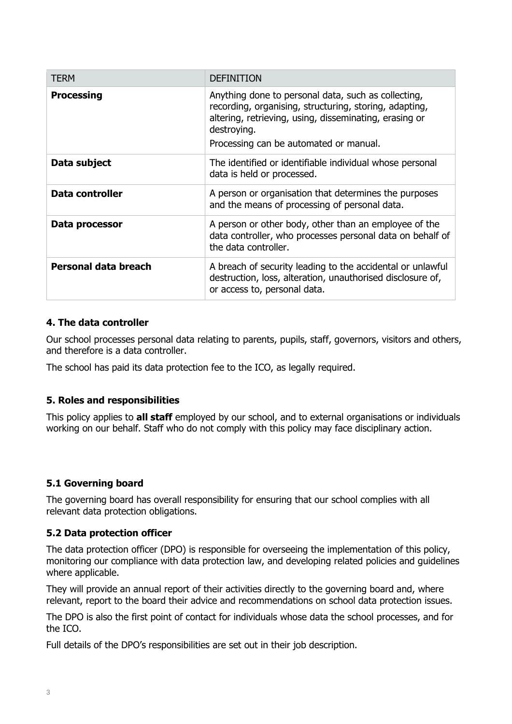| <b>TERM</b>            | <b>DEFINITION</b>                                                                                                                                                                                                                |
|------------------------|----------------------------------------------------------------------------------------------------------------------------------------------------------------------------------------------------------------------------------|
| <b>Processing</b>      | Anything done to personal data, such as collecting,<br>recording, organising, structuring, storing, adapting,<br>altering, retrieving, using, disseminating, erasing or<br>destroying.<br>Processing can be automated or manual. |
| Data subject           | The identified or identifiable individual whose personal<br>data is held or processed.                                                                                                                                           |
| <b>Data controller</b> | A person or organisation that determines the purposes<br>and the means of processing of personal data.                                                                                                                           |
| Data processor         | A person or other body, other than an employee of the<br>data controller, who processes personal data on behalf of<br>the data controller.                                                                                       |
| Personal data breach   | A breach of security leading to the accidental or unlawful<br>destruction, loss, alteration, unauthorised disclosure of,<br>or access to, personal data.                                                                         |

#### **4. The data controller**

Our school processes personal data relating to parents, pupils, staff, governors, visitors and others, and therefore is a data controller.

The school has paid its data protection fee to the ICO, as legally required.

#### **5. Roles and responsibilities**

This policy applies to **all staff** employed by our school, and to external organisations or individuals working on our behalf. Staff who do not comply with this policy may face disciplinary action.

#### **5.1 Governing board**

The governing board has overall responsibility for ensuring that our school complies with all relevant data protection obligations.

#### **5.2 Data protection officer**

The data protection officer (DPO) is responsible for overseeing the implementation of this policy, monitoring our compliance with data protection law, and developing related policies and guidelines where applicable.

They will provide an annual report of their activities directly to the governing board and, where relevant, report to the board their advice and recommendations on school data protection issues.

The DPO is also the first point of contact for individuals whose data the school processes, and for the ICO.

Full details of the DPO's responsibilities are set out in their job description.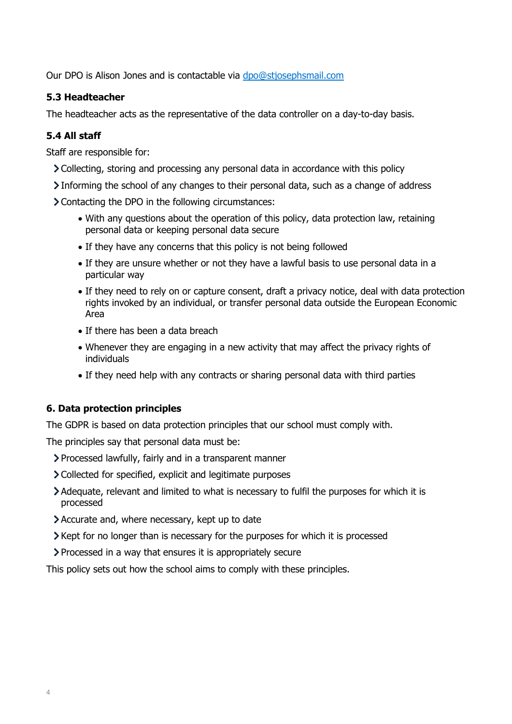Our DPO is Alison Jones and is contactable via [dpo@stjosephsmail.com](mailto:dpo@stjosephsmail.com)

## **5.3 Headteacher**

The headteacher acts as the representative of the data controller on a day-to-day basis.

# **5.4 All staff**

Staff are responsible for:

- Collecting, storing and processing any personal data in accordance with this policy
- Informing the school of any changes to their personal data, such as a change of address
- Contacting the DPO in the following circumstances:
	- With any questions about the operation of this policy, data protection law, retaining personal data or keeping personal data secure
	- If they have any concerns that this policy is not being followed
	- If they are unsure whether or not they have a lawful basis to use personal data in a particular way
	- If they need to rely on or capture consent, draft a privacy notice, deal with data protection rights invoked by an individual, or transfer personal data outside the European Economic Area
	- If there has been a data breach
	- Whenever they are engaging in a new activity that may affect the privacy rights of individuals
	- If they need help with any contracts or sharing personal data with third parties

#### **6. Data protection principles**

The GDPR is based on data protection principles that our school must comply with.

The principles say that personal data must be:

- Processed lawfully, fairly and in a transparent manner
- Collected for specified, explicit and legitimate purposes
- Adequate, relevant and limited to what is necessary to fulfil the purposes for which it is processed
- Accurate and, where necessary, kept up to date
- $\geq$  Kept for no longer than is necessary for the purposes for which it is processed
- Processed in a way that ensures it is appropriately secure

This policy sets out how the school aims to comply with these principles.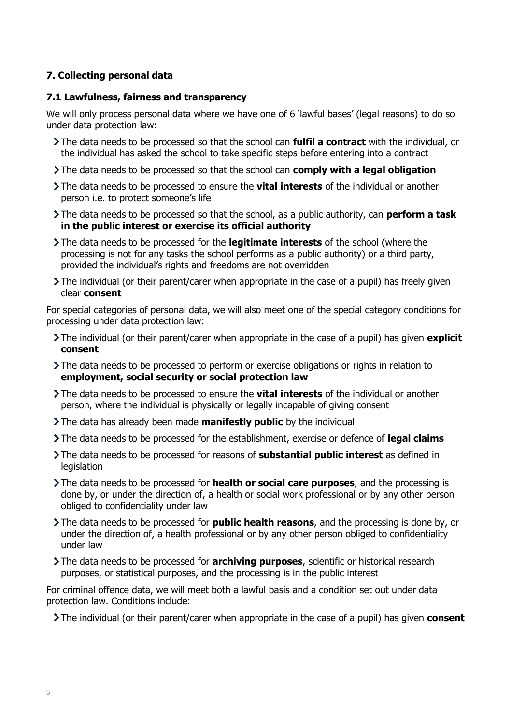# **7. Collecting personal data**

#### **7.1 Lawfulness, fairness and transparency**

We will only process personal data where we have one of 6 'lawful bases' (legal reasons) to do so under data protection law:

- The data needs to be processed so that the school can **fulfil a contract** with the individual, or the individual has asked the school to take specific steps before entering into a contract
- The data needs to be processed so that the school can **comply with a legal obligation**
- The data needs to be processed to ensure the **vital interests** of the individual or another person i.e. to protect someone's life
- The data needs to be processed so that the school, as a public authority, can **perform a task in the public interest or exercise its official authority**
- The data needs to be processed for the **legitimate interests** of the school (where the processing is not for any tasks the school performs as a public authority) or a third party, provided the individual's rights and freedoms are not overridden
- The individual (or their parent/carer when appropriate in the case of a pupil) has freely given clear **consent**

For special categories of personal data, we will also meet one of the special category conditions for processing under data protection law:

- The individual (or their parent/carer when appropriate in the case of a pupil) has given **explicit consent**
- The data needs to be processed to perform or exercise obligations or rights in relation to **employment, social security or social protection law**
- The data needs to be processed to ensure the **vital interests** of the individual or another person, where the individual is physically or legally incapable of giving consent
- The data has already been made **manifestly public** by the individual
- The data needs to be processed for the establishment, exercise or defence of **legal claims**
- The data needs to be processed for reasons of **substantial public interest** as defined in legislation
- The data needs to be processed for **health or social care purposes**, and the processing is done by, or under the direction of, a health or social work professional or by any other person obliged to confidentiality under law
- The data needs to be processed for **public health reasons**, and the processing is done by, or under the direction of, a health professional or by any other person obliged to confidentiality under law
- The data needs to be processed for **archiving purposes**, scientific or historical research purposes, or statistical purposes, and the processing is in the public interest

For criminal offence data, we will meet both a lawful basis and a condition set out under data protection law. Conditions include:

The individual (or their parent/carer when appropriate in the case of a pupil) has given **consent**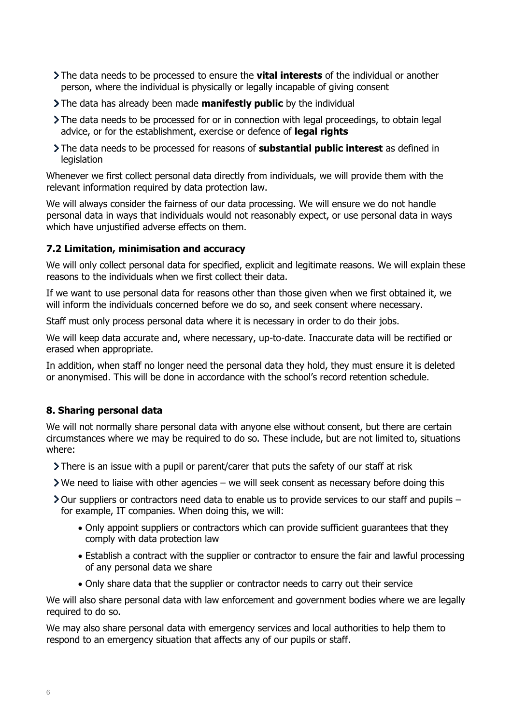- The data needs to be processed to ensure the **vital interests** of the individual or another person, where the individual is physically or legally incapable of giving consent
- The data has already been made **manifestly public** by the individual
- The data needs to be processed for or in connection with legal proceedings, to obtain legal advice, or for the establishment, exercise or defence of **legal rights**
- The data needs to be processed for reasons of **substantial public interest** as defined in legislation

Whenever we first collect personal data directly from individuals, we will provide them with the relevant information required by data protection law.

We will always consider the fairness of our data processing. We will ensure we do not handle personal data in ways that individuals would not reasonably expect, or use personal data in ways which have unjustified adverse effects on them.

#### **7.2 Limitation, minimisation and accuracy**

We will only collect personal data for specified, explicit and legitimate reasons. We will explain these reasons to the individuals when we first collect their data.

If we want to use personal data for reasons other than those given when we first obtained it, we will inform the individuals concerned before we do so, and seek consent where necessary.

Staff must only process personal data where it is necessary in order to do their jobs.

We will keep data accurate and, where necessary, up-to-date. Inaccurate data will be rectified or erased when appropriate.

In addition, when staff no longer need the personal data they hold, they must ensure it is deleted or anonymised. This will be done in accordance with the school's record retention schedule.

#### **8. Sharing personal data**

We will not normally share personal data with anyone else without consent, but there are certain circumstances where we may be required to do so. These include, but are not limited to, situations where:

- There is an issue with a pupil or parent/carer that puts the safety of our staff at risk
- $\triangleright$  We need to liaise with other agencies we will seek consent as necessary before doing this
- $\geq$  Our suppliers or contractors need data to enable us to provide services to our staff and pupils for example, IT companies. When doing this, we will:
	- Only appoint suppliers or contractors which can provide sufficient guarantees that they comply with data protection law
	- Establish a contract with the supplier or contractor to ensure the fair and lawful processing of any personal data we share
	- Only share data that the supplier or contractor needs to carry out their service

We will also share personal data with law enforcement and government bodies where we are legally required to do so.

We may also share personal data with emergency services and local authorities to help them to respond to an emergency situation that affects any of our pupils or staff.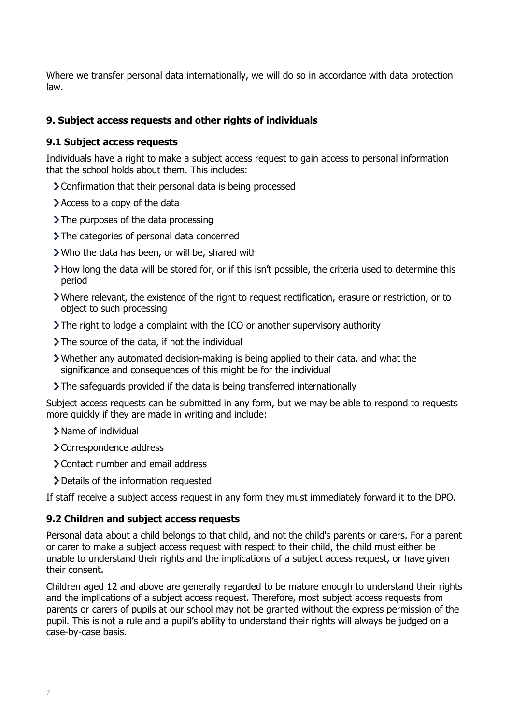Where we transfer personal data internationally, we will do so in accordance with data protection law.

#### **9. Subject access requests and other rights of individuals**

#### **9.1 Subject access requests**

Individuals have a right to make a subject access request to gain access to personal information that the school holds about them. This includes:

- Confirmation that their personal data is being processed
- Access to a copy of the data
- $\sum$  The purposes of the data processing
- > The categories of personal data concerned
- Who the data has been, or will be, shared with
- How long the data will be stored for, or if this isn't possible, the criteria used to determine this period
- Where relevant, the existence of the right to request rectification, erasure or restriction, or to object to such processing
- The right to lodge a complaint with the ICO or another supervisory authority
- The source of the data, if not the individual
- Whether any automated decision-making is being applied to their data, and what the significance and consequences of this might be for the individual
- The safeguards provided if the data is being transferred internationally

Subject access requests can be submitted in any form, but we may be able to respond to requests more quickly if they are made in writing and include:

- Name of individual
- > Correspondence address
- Contact number and email address
- Details of the information requested

If staff receive a subject access request in any form they must immediately forward it to the DPO.

#### **9.2 Children and subject access requests**

Personal data about a child belongs to that child, and not the child's parents or carers. For a parent or carer to make a subject access request with respect to their child, the child must either be unable to understand their rights and the implications of a subject access request, or have given their consent.

Children aged 12 and above are generally regarded to be mature enough to understand their rights and the implications of a subject access request. Therefore, most subject access requests from parents or carers of pupils at our school may not be granted without the express permission of the pupil. This is not a rule and a pupil's ability to understand their rights will always be judged on a case-by-case basis.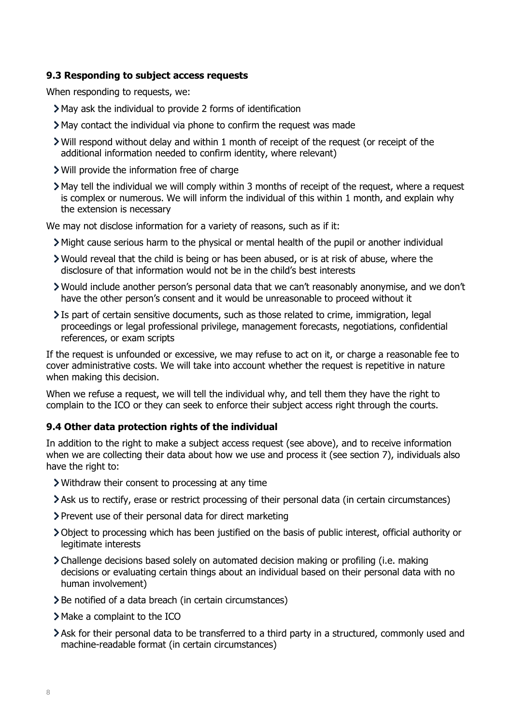#### **9.3 Responding to subject access requests**

When responding to requests, we:

- May ask the individual to provide 2 forms of identification
- May contact the individual via phone to confirm the request was made
- Will respond without delay and within 1 month of receipt of the request (or receipt of the additional information needed to confirm identity, where relevant)
- Will provide the information free of charge
- May tell the individual we will comply within 3 months of receipt of the request, where a request is complex or numerous. We will inform the individual of this within 1 month, and explain why the extension is necessary

We may not disclose information for a variety of reasons, such as if it:

- Might cause serious harm to the physical or mental health of the pupil or another individual
- Would reveal that the child is being or has been abused, or is at risk of abuse, where the disclosure of that information would not be in the child's best interests
- Would include another person's personal data that we can't reasonably anonymise, and we don't have the other person's consent and it would be unreasonable to proceed without it
- Is part of certain sensitive documents, such as those related to crime, immigration, legal proceedings or legal professional privilege, management forecasts, negotiations, confidential references, or exam scripts

If the request is unfounded or excessive, we may refuse to act on it, or charge a reasonable fee to cover administrative costs. We will take into account whether the request is repetitive in nature when making this decision.

When we refuse a request, we will tell the individual why, and tell them they have the right to complain to the ICO or they can seek to enforce their subject access right through the courts.

#### **9.4 Other data protection rights of the individual**

In addition to the right to make a subject access request (see above), and to receive information when we are collecting their data about how we use and process it (see section 7), individuals also have the right to:

- Withdraw their consent to processing at any time
- Ask us to rectify, erase or restrict processing of their personal data (in certain circumstances)
- Prevent use of their personal data for direct marketing
- Object to processing which has been justified on the basis of public interest, official authority or legitimate interests
- Challenge decisions based solely on automated decision making or profiling (i.e. making decisions or evaluating certain things about an individual based on their personal data with no human involvement)
- > Be notified of a data breach (in certain circumstances)
- Make a complaint to the ICO
- Ask for their personal data to be transferred to a third party in a structured, commonly used and machine-readable format (in certain circumstances)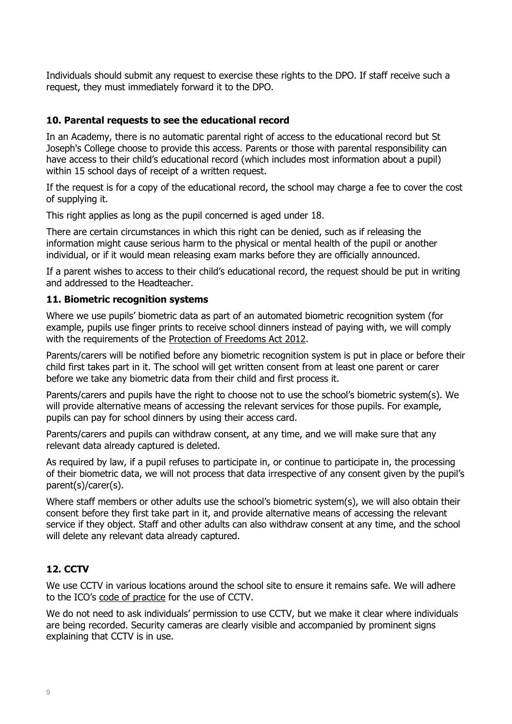Individuals should submit any request to exercise these rights to the DPO. If staff receive such a request, they must immediately forward it to the DPO.

#### **10. Parental requests to see the educational record**

In an Academy, there is no automatic parental right of access to the educational record but St Joseph's College choose to provide this access. Parents or those with parental responsibility can have access to their child's educational record (which includes most information about a pupil) within 15 school days of receipt of a written request.

If the request is for a copy of the educational record, the school may charge a fee to cover the cost of supplying it.

This right applies as long as the pupil concerned is aged under 18.

There are certain circumstances in which this right can be denied, such as if releasing the information might cause serious harm to the physical or mental health of the pupil or another individual, or if it would mean releasing exam marks before they are officially announced.

If a parent wishes to access to their child's educational record, the request should be put in writing and addressed to the Headteacher.

#### **11. Biometric recognition systems**

Where we use pupils' biometric data as part of an automated biometric recognition system (for example, pupils use finger prints to receive school dinners instead of paying with, we will comply with the requirements of the Protection [of Freedoms Act 2012.](https://www.legislation.gov.uk/ukpga/2012/9/section/26)

Parents/carers will be notified before any biometric recognition system is put in place or before their child first takes part in it. The school will get written consent from at least one parent or carer before we take any biometric data from their child and first process it.

Parents/carers and pupils have the right to choose not to use the school's biometric system(s). We will provide alternative means of accessing the relevant services for those pupils. For example, pupils can pay for school dinners by using their access card.

Parents/carers and pupils can withdraw consent, at any time, and we will make sure that any relevant data already captured is deleted.

As required by law, if a pupil refuses to participate in, or continue to participate in, the processing of their biometric data, we will not process that data irrespective of any consent given by the pupil's parent(s)/carer(s).

Where staff members or other adults use the school's biometric system(s), we will also obtain their consent before they first take part in it, and provide alternative means of accessing the relevant service if they object. Staff and other adults can also withdraw consent at any time, and the school will delete any relevant data already captured.

#### **12. CCTV**

We use CCTV in various locations around the school site to ensure it remains safe. We will adhere to the ICO's [code of practice](https://ico.org.uk/media/for-organisations/documents/1542/cctv-code-of-practice.pdf) for the use of CCTV.

We do not need to ask individuals' permission to use CCTV, but we make it clear where individuals are being recorded. Security cameras are clearly visible and accompanied by prominent signs explaining that CCTV is in use.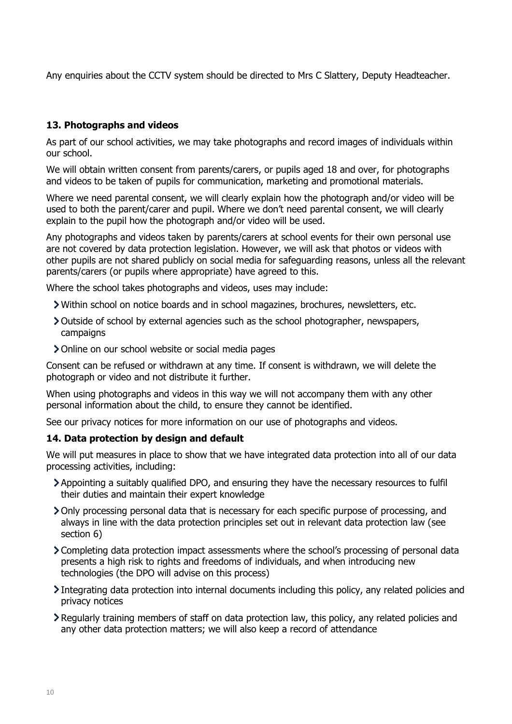Any enquiries about the CCTV system should be directed to Mrs C Slattery, Deputy Headteacher.

## **13. Photographs and videos**

As part of our school activities, we may take photographs and record images of individuals within our school.

We will obtain written consent from parents/carers, or pupils aged 18 and over, for photographs and videos to be taken of pupils for communication, marketing and promotional materials.

Where we need parental consent, we will clearly explain how the photograph and/or video will be used to both the parent/carer and pupil. Where we don't need parental consent, we will clearly explain to the pupil how the photograph and/or video will be used.

Any photographs and videos taken by parents/carers at school events for their own personal use are not covered by data protection legislation. However, we will ask that photos or videos with other pupils are not shared publicly on social media for safeguarding reasons, unless all the relevant parents/carers (or pupils where appropriate) have agreed to this.

Where the school takes photographs and videos, uses may include:

- Within school on notice boards and in school magazines, brochures, newsletters, etc.
- Outside of school by external agencies such as the school photographer, newspapers, campaigns
- Online on our school website or social media pages

Consent can be refused or withdrawn at any time. If consent is withdrawn, we will delete the photograph or video and not distribute it further.

When using photographs and videos in this way we will not accompany them with any other personal information about the child, to ensure they cannot be identified.

See our privacy notices for more information on our use of photographs and videos.

#### **14. Data protection by design and default**

We will put measures in place to show that we have integrated data protection into all of our data processing activities, including:

- Appointing a suitably qualified DPO, and ensuring they have the necessary resources to fulfil their duties and maintain their expert knowledge
- Only processing personal data that is necessary for each specific purpose of processing, and always in line with the data protection principles set out in relevant data protection law (see section 6)
- Completing data protection impact assessments where the school's processing of personal data presents a high risk to rights and freedoms of individuals, and when introducing new technologies (the DPO will advise on this process)
- Integrating data protection into internal documents including this policy, any related policies and privacy notices
- Regularly training members of staff on data protection law, this policy, any related policies and any other data protection matters; we will also keep a record of attendance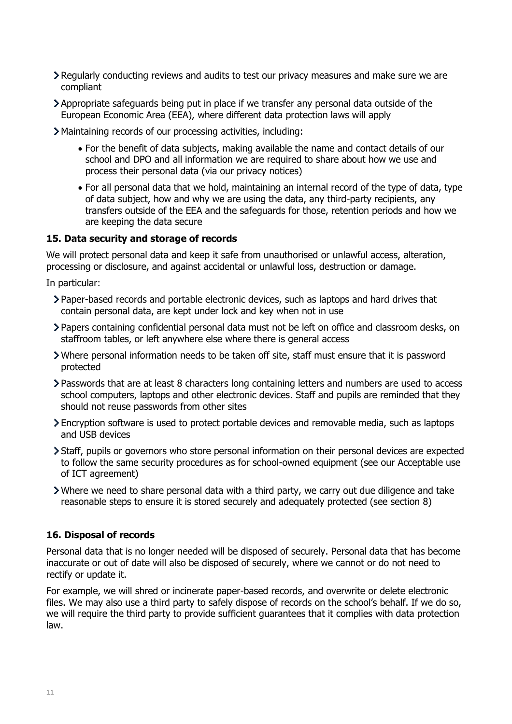- Regularly conducting reviews and audits to test our privacy measures and make sure we are compliant
- Appropriate safeguards being put in place if we transfer any personal data outside of the European Economic Area (EEA), where different data protection laws will apply
- Maintaining records of our processing activities, including:
	- For the benefit of data subjects, making available the name and contact details of our school and DPO and all information we are required to share about how we use and process their personal data (via our privacy notices)
	- For all personal data that we hold, maintaining an internal record of the type of data, type of data subject, how and why we are using the data, any third-party recipients, any transfers outside of the EEA and the safeguards for those, retention periods and how we are keeping the data secure

#### **15. Data security and storage of records**

We will protect personal data and keep it safe from unauthorised or unlawful access, alteration, processing or disclosure, and against accidental or unlawful loss, destruction or damage.

In particular:

- Paper-based records and portable electronic devices, such as laptops and hard drives that contain personal data, are kept under lock and key when not in use
- Papers containing confidential personal data must not be left on office and classroom desks, on staffroom tables, or left anywhere else where there is general access
- Where personal information needs to be taken off site, staff must ensure that it is password protected
- Passwords that are at least 8 characters long containing letters and numbers are used to access school computers, laptops and other electronic devices. Staff and pupils are reminded that they should not reuse passwords from other sites
- Encryption software is used to protect portable devices and removable media, such as laptops and USB devices
- Staff, pupils or governors who store personal information on their personal devices are expected to follow the same security procedures as for school-owned equipment (see our Acceptable use of ICT agreement)
- Where we need to share personal data with a third party, we carry out due diligence and take reasonable steps to ensure it is stored securely and adequately protected (see section 8)

#### **16. Disposal of records**

Personal data that is no longer needed will be disposed of securely. Personal data that has become inaccurate or out of date will also be disposed of securely, where we cannot or do not need to rectify or update it.

For example, we will shred or incinerate paper-based records, and overwrite or delete electronic files. We may also use a third party to safely dispose of records on the school's behalf. If we do so, we will require the third party to provide sufficient guarantees that it complies with data protection law.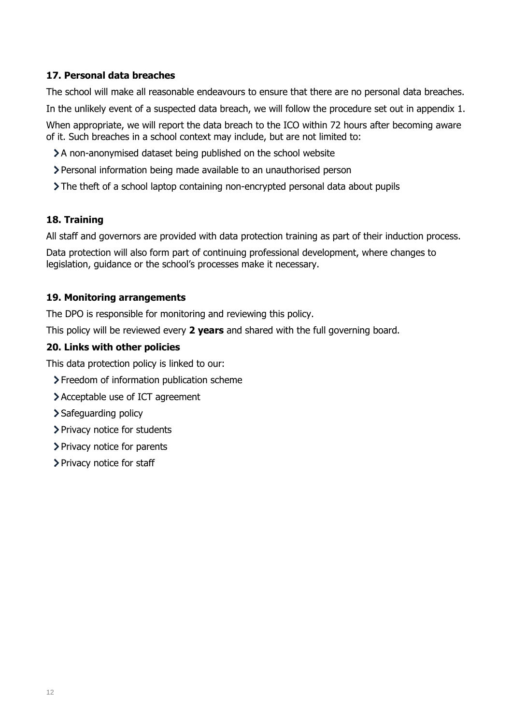# **17. Personal data breaches**

The school will make all reasonable endeavours to ensure that there are no personal data breaches.

In the unlikely event of a suspected data breach, we will follow the procedure set out in appendix 1.

When appropriate, we will report the data breach to the ICO within 72 hours after becoming aware of it. Such breaches in a school context may include, but are not limited to:

- A non-anonymised dataset being published on the school website
- Personal information being made available to an unauthorised person
- The theft of a school laptop containing non-encrypted personal data about pupils

# **18. Training**

All staff and governors are provided with data protection training as part of their induction process.

Data protection will also form part of continuing professional development, where changes to legislation, guidance or the school's processes make it necessary.

#### **19. Monitoring arrangements**

The DPO is responsible for monitoring and reviewing this policy.

This policy will be reviewed every **2 years** and shared with the full governing board.

#### **20. Links with other policies**

This data protection policy is linked to our:

- > Freedom of information publication scheme
- Acceptable use of ICT agreement
- > Safeguarding policy
- > Privacy notice for students
- > Privacy notice for parents
- > Privacy notice for staff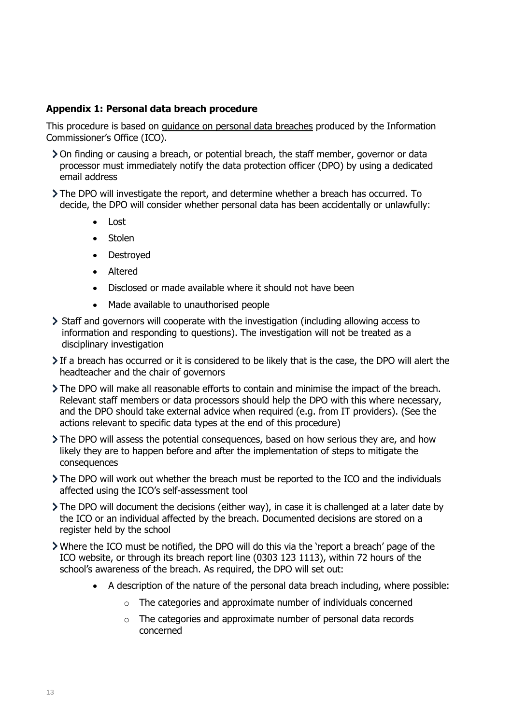#### **Appendix 1: Personal data breach procedure**

This procedure is based on [guidance on personal data breaches](https://ico.org.uk/for-organisations/guide-to-the-general-data-protection-regulation-gdpr/personal-data-breaches/) produced by the Information Commissioner's Office (ICO).

- On finding or causing a breach, or potential breach, the staff member, governor or data processor must immediately notify the data protection officer (DPO) by using a dedicated email address
- The DPO will investigate the report, and determine whether a breach has occurred. To decide, the DPO will consider whether personal data has been accidentally or unlawfully:
	- Lost
	- Stolen
	- Destroyed
	- Altered
	- Disclosed or made available where it should not have been
	- Made available to unauthorised people
- Staff and governors will cooperate with the investigation (including allowing access to information and responding to questions). The investigation will not be treated as a disciplinary investigation
- If a breach has occurred or it is considered to be likely that is the case, the DPO will alert the headteacher and the chair of governors
- The DPO will make all reasonable efforts to contain and minimise the impact of the breach. Relevant staff members or data processors should help the DPO with this where necessary, and the DPO should take external advice when required (e.g. from IT providers). (See the actions relevant to specific data types at the end of this procedure)
- The DPO will assess the potential consequences, based on how serious they are, and how likely they are to happen before and after the implementation of steps to mitigate the consequences
- The DPO will work out whether the breach must be reported to the ICO and the individuals affected using the ICO's [self-assessment tool](https://ico.org.uk/for-organisations/report-a-breach/personal-data-breach-assessment/)
- The DPO will document the decisions (either way), in case it is challenged at a later date by the ICO or an individual affected by the breach. Documented decisions are stored on a register held by the school
- If Where the ICO must be notified, the DPO will do this via the ['report a breach' page](https://ico.org.uk/for-organisations/report-a-breach/) of the ICO website, or through its breach report line (0303 123 1113), within 72 hours of the school's awareness of the breach. As required, the DPO will set out:
	- A description of the nature of the personal data breach including, where possible:
		- o The categories and approximate number of individuals concerned
		- o The categories and approximate number of personal data records concerned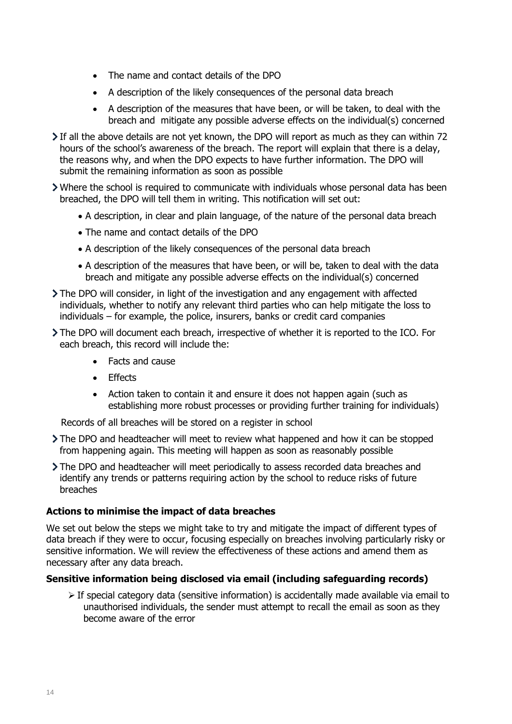- The name and contact details of the DPO
- A description of the likely consequences of the personal data breach
- A description of the measures that have been, or will be taken, to deal with the breach and mitigate any possible adverse effects on the individual(s) concerned
- If all the above details are not yet known, the DPO will report as much as they can within 72 hours of the school's awareness of the breach. The report will explain that there is a delay, the reasons why, and when the DPO expects to have further information. The DPO will submit the remaining information as soon as possible
- Where the school is required to communicate with individuals whose personal data has been breached, the DPO will tell them in writing. This notification will set out:
	- A description, in clear and plain language, of the nature of the personal data breach
	- The name and contact details of the DPO
	- A description of the likely consequences of the personal data breach
	- A description of the measures that have been, or will be, taken to deal with the data breach and mitigate any possible adverse effects on the individual(s) concerned
- The DPO will consider, in light of the investigation and any engagement with affected individuals, whether to notify any relevant third parties who can help mitigate the loss to individuals – for example, the police, insurers, banks or credit card companies
- The DPO will document each breach, irrespective of whether it is reported to the ICO. For each breach, this record will include the:
	- Facts and cause
	- Effects
	- Action taken to contain it and ensure it does not happen again (such as establishing more robust processes or providing further training for individuals)

Records of all breaches will be stored on a register in school

- The DPO and headteacher will meet to review what happened and how it can be stopped from happening again. This meeting will happen as soon as reasonably possible
- The DPO and headteacher will meet periodically to assess recorded data breaches and identify any trends or patterns requiring action by the school to reduce risks of future breaches

#### **Actions to minimise the impact of data breaches**

We set out below the steps we might take to try and mitigate the impact of different types of data breach if they were to occur, focusing especially on breaches involving particularly risky or sensitive information. We will review the effectiveness of these actions and amend them as necessary after any data breach.

#### **Sensitive information being disclosed via email (including safeguarding records)**

 $\triangleright$  If special category data (sensitive information) is accidentally made available via email to unauthorised individuals, the sender must attempt to recall the email as soon as they become aware of the error